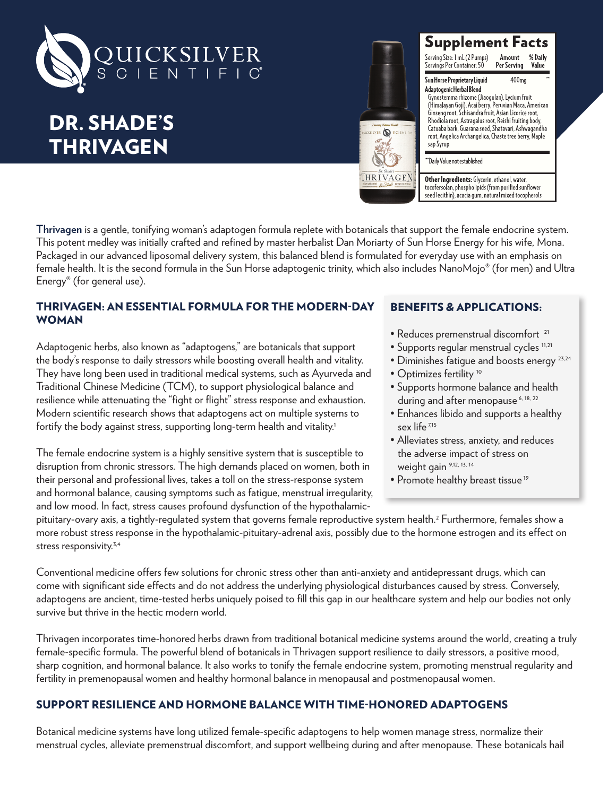

# DR. SHADE'S THRIVAGEN



#### **Supplement Facts** Serving Size: 1 mL (2 Pumps) % Daily Servings Per Container: 50 Per Serving Value

Sun Horse Proprietary Liquid 400<sub>mq</sub> Adaptogenic Herbal Blend Gynostemma rhizome (Jiaogulan), Lycium fruit (Himalayan Goji), Acai berry, Peruvian Maca, American Ginseng root, Schisandra fruit, Asian Licorice root, Rhodiola root, Astragalus root, Reishi fruiting body,

Catuaba bark, Guarana seed, Shatavari, Ashwagandha<br>root, Angelica Archangelica, Chaste tree berry, Maple sap Syrup

"Daily Value not established

Other Ingredients: Glycerin, ethanol, water, tocofersolan, phospholipids (from purified sunflower seed lecithin), acacia gum, natural mixed tocopherols

**Thrivagen** is a gentle, tonifying woman's adaptogen formula replete with botanicals that support the female endocrine system. This potent medley was initially crafted and refined by master herbalist Dan Moriarty of Sun Horse Energy for his wife, Mona. Packaged in our advanced liposomal delivery system, this balanced blend is formulated for everyday use with an emphasis on female health. It is the second formula in the Sun Horse adaptogenic trinity, which also includes NanoMojo® (for men) and Ultra Energy® (for general use).

# THRIVAGEN: AN ESSENTIAL FORMULA FOR THE MODERN-DAY WOMAN

Adaptogenic herbs, also known as "adaptogens," are botanicals that support the body's response to daily stressors while boosting overall health and vitality. They have long been used in traditional medical systems, such as Ayurveda and Traditional Chinese Medicine (TCM), to support physiological balance and resilience while attenuating the "fight or flight" stress response and exhaustion. Modern scientific research shows that adaptogens act on multiple systems to fortify the body against stress, supporting long-term health and vitality.<sup>1</sup>

The female endocrine system is a highly sensitive system that is susceptible to disruption from chronic stressors. The high demands placed on women, both in their personal and professional lives, takes a toll on the stress-response system and hormonal balance, causing symptoms such as fatigue, menstrual irregularity, and low mood. In fact, stress causes profound dysfunction of the hypothalamic-

# BENEFITS & APPLICATIONS:

- Reduces premenstrual discomfort<sup>21</sup>
- Supports regular menstrual cycles 11,21
- Diminishes fatigue and boosts energy 23,24
- Optimizes fertility 10
- Supports hormone balance and health during and after menopause<sup>6, 18, 22</sup>
- Enhances libido and supports a healthy sex life<sup>7,15</sup>
- Alleviates stress, anxiety, and reduces the adverse impact of stress on weight gain 9,12, 13, 14
- Promote healthy breast tissue<sup>19</sup>

pituitary-ovary axis, a tightly-regulated system that governs female reproductive system health.2 Furthermore, females show a more robust stress response in the hypothalamic-pituitary-adrenal axis, possibly due to the hormone estrogen and its effect on stress responsivity.<sup>3,4</sup>

Conventional medicine offers few solutions for chronic stress other than anti-anxiety and antidepressant drugs, which can come with significant side effects and do not address the underlying physiological disturbances caused by stress. Conversely, adaptogens are ancient, time-tested herbs uniquely poised to fill this gap in our healthcare system and help our bodies not only survive but thrive in the hectic modern world.

Thrivagen incorporates time-honored herbs drawn from traditional botanical medicine systems around the world, creating a truly female-specific formula. The powerful blend of botanicals in Thrivagen support resilience to daily stressors, a positive mood, sharp cognition, and hormonal balance. It also works to tonify the female endocrine system, promoting menstrual regularity and fertility in premenopausal women and healthy hormonal balance in menopausal and postmenopausal women.

# SUPPORT RESILIENCE AND HORMONE BALANCE WITH TIME-HONORED ADAPTOGENS

Botanical medicine systems have long utilized female-specific adaptogens to help women manage stress, normalize their menstrual cycles, alleviate premenstrual discomfort, and support wellbeing during and after menopause. These botanicals hail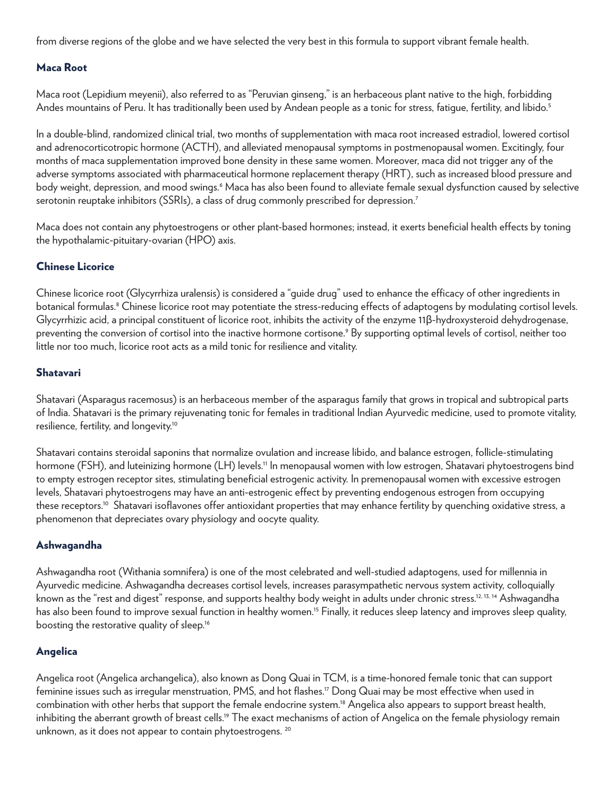from diverse regions of the globe and we have selected the very best in this formula to support vibrant female health.

#### Maca Root

Maca root (Lepidium meyenii), also referred to as "Peruvian ginseng," is an herbaceous plant native to the high, forbidding Andes mountains of Peru. It has traditionally been used by Andean people as a tonic for stress, fatique, fertility, and libido.<sup>5</sup>

In a double-blind, randomized clinical trial, two months of supplementation with maca root increased estradiol, lowered cortisol and adrenocorticotropic hormone (ACTH), and alleviated menopausal symptoms in postmenopausal women. Excitingly, four months of maca supplementation improved bone density in these same women. Moreover, maca did not trigger any of the adverse symptoms associated with pharmaceutical hormone replacement therapy (HRT), such as increased blood pressure and body weight, depression, and mood swings.<sup>6</sup> Maca has also been found to alleviate female sexual dysfunction caused by selective serotonin reuptake inhibitors (SSRIs), a class of drug commonly prescribed for depression.<sup>7</sup>

Maca does not contain any phytoestrogens or other plant-based hormones; instead, it exerts beneficial health effects by toning the hypothalamic-pituitary-ovarian (HPO) axis.

## Chinese Licorice

Chinese licorice root (Glycyrrhiza uralensis) is considered a "guide drug" used to enhance the efficacy of other ingredients in botanical formulas.8 Chinese licorice root may potentiate the stress-reducing effects of adaptogens by modulating cortisol levels. Glycyrrhizic acid, a principal constituent of licorice root, inhibits the activity of the enzyme 11β-hydroxysteroid dehydrogenase, preventing the conversion of cortisol into the inactive hormone cortisone.<sup>9</sup> By supporting optimal levels of cortisol, neither too little nor too much, licorice root acts as a mild tonic for resilience and vitality.

## Shatavari

Shatavari (Asparagus racemosus) is an herbaceous member of the asparagus family that grows in tropical and subtropical parts of India. Shatavari is the primary rejuvenating tonic for females in traditional Indian Ayurvedic medicine, used to promote vitality, resilience, fertility, and longevity.10

Shatavari contains steroidal saponins that normalize ovulation and increase libido, and balance estrogen, follicle-stimulating hormone (FSH), and luteinizing hormone (LH) levels.<sup>11</sup> In menopausal women with low estrogen, Shatavari phytoestrogens bind to empty estrogen receptor sites, stimulating beneficial estrogenic activity. In premenopausal women with excessive estrogen levels, Shatavari phytoestrogens may have an anti-estrogenic effect by preventing endogenous estrogen from occupying these receptors.<sup>10</sup> Shatavari isoflavones offer antioxidant properties that may enhance fertility by quenching oxidative stress, a phenomenon that depreciates ovary physiology and oocyte quality.

#### Ashwagandha

Ashwagandha root (Withania somnifera) is one of the most celebrated and well-studied adaptogens, used for millennia in Ayurvedic medicine. Ashwagandha decreases cortisol levels, increases parasympathetic nervous system activity, colloquially known as the "rest and digest" response, and supports healthy body weight in adults under chronic stress.<sup>12, 13, 14</sup> Ashwagandha has also been found to improve sexual function in healthy women.<sup>15</sup> Finally, it reduces sleep latency and improves sleep quality, boosting the restorative quality of sleep.<sup>16</sup>

#### Angelica

Angelica root (Angelica archangelica), also known as Dong Quai in TCM, is a time-honored female tonic that can support feminine issues such as irregular menstruation, PMS, and hot flashes.<sup>17</sup> Dong Quai may be most effective when used in combination with other herbs that support the female endocrine system.18 Angelica also appears to support breast health, inhibiting the aberrant growth of breast cells.<sup>19</sup> The exact mechanisms of action of Angelica on the female physiology remain unknown, as it does not appear to contain phytoestrogens.<sup>20</sup>